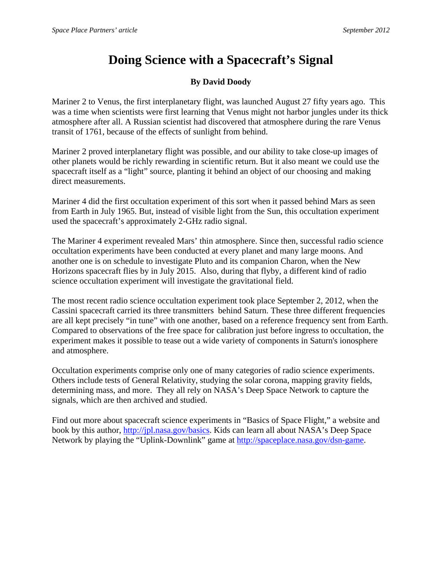## **Doing Science with a Spacecraft's Signal**

## **By David Doody**

Mariner 2 to Venus, the first interplanetary flight, was launched August 27 fifty years ago. This was a time when scientists were first learning that Venus might not harbor jungles under its thick atmosphere after all. A Russian scientist had discovered that atmosphere during the rare Venus transit of 1761, because of the effects of sunlight from behind.

Mariner 2 proved interplanetary flight was possible, and our ability to take close-up images of other planets would be richly rewarding in scientific return. But it also meant we could use the spacecraft itself as a "light" source, planting it behind an object of our choosing and making direct measurements.

Mariner 4 did the first occultation experiment of this sort when it passed behind Mars as seen from Earth in July 1965. But, instead of visible light from the Sun, this occultation experiment used the spacecraft's approximately 2-GHz radio signal.

The Mariner 4 experiment revealed Mars' thin atmosphere. Since then, successful radio science occultation experiments have been conducted at every planet and many large moons. And another one is on schedule to investigate Pluto and its companion Charon, when the New Horizons spacecraft flies by in July 2015. Also, during that flyby, a different kind of radio science occultation experiment will investigate the gravitational field.

The most recent radio science occultation experiment took place September 2, 2012, when the Cassini spacecraft carried its three transmitters behind Saturn. These three different frequencies are all kept precisely "in tune" with one another, based on a reference frequency sent from Earth. Compared to observations of the free space for calibration just before ingress to occultation, the experiment makes it possible to tease out a wide variety of components in Saturn's ionosphere and atmosphere.

Occultation experiments comprise only one of many categories of radio science experiments. Others include tests of General Relativity, studying the solar corona, mapping gravity fields, determining mass, and more. They all rely on NASA's Deep Space Network to capture the signals, which are then archived and studied.

Find out more about spacecraft science experiments in "Basics of Space Flight," a website and book by this author, http://jpl.nasa.gov/basics. Kids can learn all about NASA's Deep Space Network by playing the "Uplink-Downlink" game at http://spaceplace.nasa.gov/dsn-game.